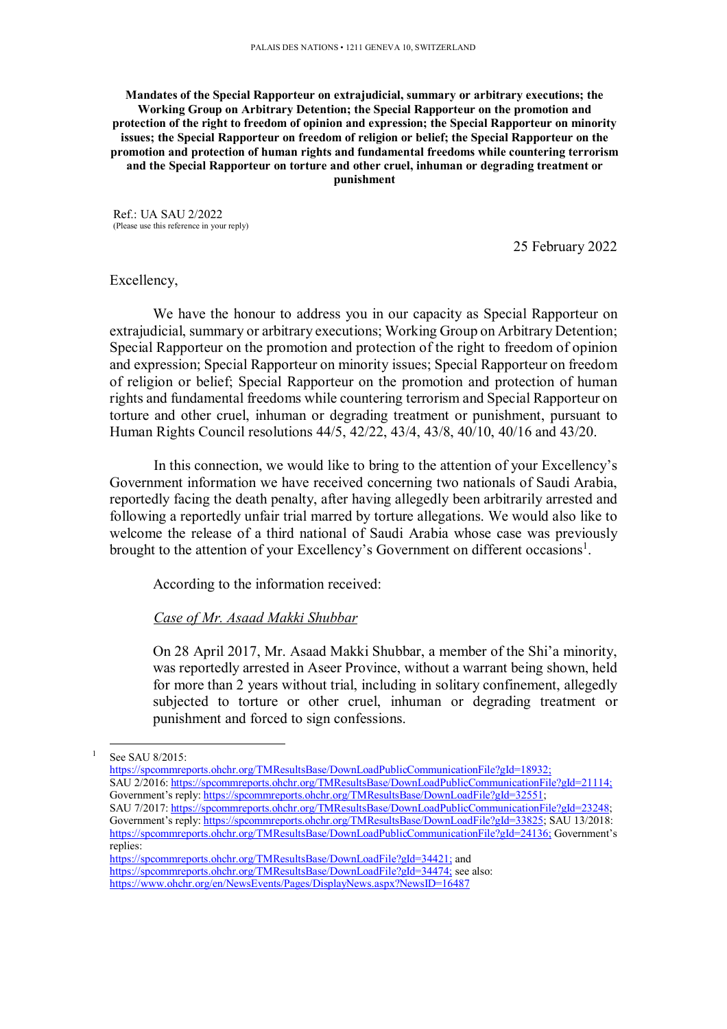**Mandates of the Special Rapporteur on extrajudicial, summary or arbitrary executions; the Working Group on Arbitrary Detention; the Special Rapporteur on the promotion and protection of the right to freedom of opinion and expression; the Special Rapporteur on minority issues; the Special Rapporteur on freedom of religion or belief; the Special Rapporteur on the promotion and protection of human rights and fundamental freedoms while countering terrorism and the Special Rapporteur on torture and other cruel, inhuman or degrading treatment or punishment** 

Ref.: UA SAU 2/2022 (Please use this reference in your reply)

25 February 2022

## Excellency,

We have the honour to address you in our capacity as Special Rapporteur on extrajudicial, summary or arbitrary executions; Working Group on Arbitrary Detention; Special Rapporteur on the promotion and protection of the right to freedom of opinion and expression; Special Rapporteur on minority issues; Special Rapporteur on freedom of religion or belief; Special Rapporteur on the promotion and protection of human rights and fundamental freedoms while countering terrorism and Special Rapporteur on torture and other cruel, inhuman or degrading treatment or punishment, pursuant to Human Rights Council resolutions 44/5, 42/22, 43/4, 43/8, 40/10, 40/16 and 43/20.

In this connection, we would like to bring to the attention of your Excellency's Government information we have received concerning two nationals of Saudi Arabia, reportedly facing the death penalty, after having allegedly been arbitrarily arrested and following a reportedly unfair trial marred by torture allegations. We would also like to welcome the release of a third national of Saudi Arabia whose case was previously brought to the attention of your Excellency's Government on different occasions<sup>1</sup>.

According to the information received:

## *Case of Mr. Asaad Makki Shubbar*

On 28 April 2017, Mr. Asaad Makki Shubbar, a member of the Shi'a minority, was reportedly arrested in Aseer Province, without a warrant being shown, held for more than 2 years without trial, including in solitary confinement, allegedly subjected to torture or other cruel, inhuman or degrading treatment or punishment and forced to sign confessions.

-

https://spcommreports.ohchr.org/TMResultsBase/DownLoadPublicCommunicationFile?gId=18932; SAU 2/2016: https://spcommreports.ohchr.org/TMResultsBase/DownLoadPublicCommunicationFile?gId=21114; Government's reply: https://spcommreports.ohchr.org/TMResultsBase/DownLoadFile?gId=32551; SAU 7/2017: https://spcommreports.ohchr.org/TMResultsBase/DownLoadPublicCommunicationFile?gId=23248; Government's reply: https://spcommreports.ohchr.org/TMResultsBase/DownLoadFile?gId=33825; SAU 13/2018: https://spcommreports.ohchr.org/TMResultsBase/DownLoadPublicCommunicationFile?gId=24136; Government's replies:

https://spcommreports.ohchr.org/TMResultsBase/DownLoadFile?gId=34421; and https://spcommreports.ohchr.org/TMResultsBase/DownLoadFile?gId=34474; see also: https://www.ohchr.org/en/NewsEvents/Pages/DisplayNews.aspx?NewsID=16487

 $1$  See SAU 8/2015: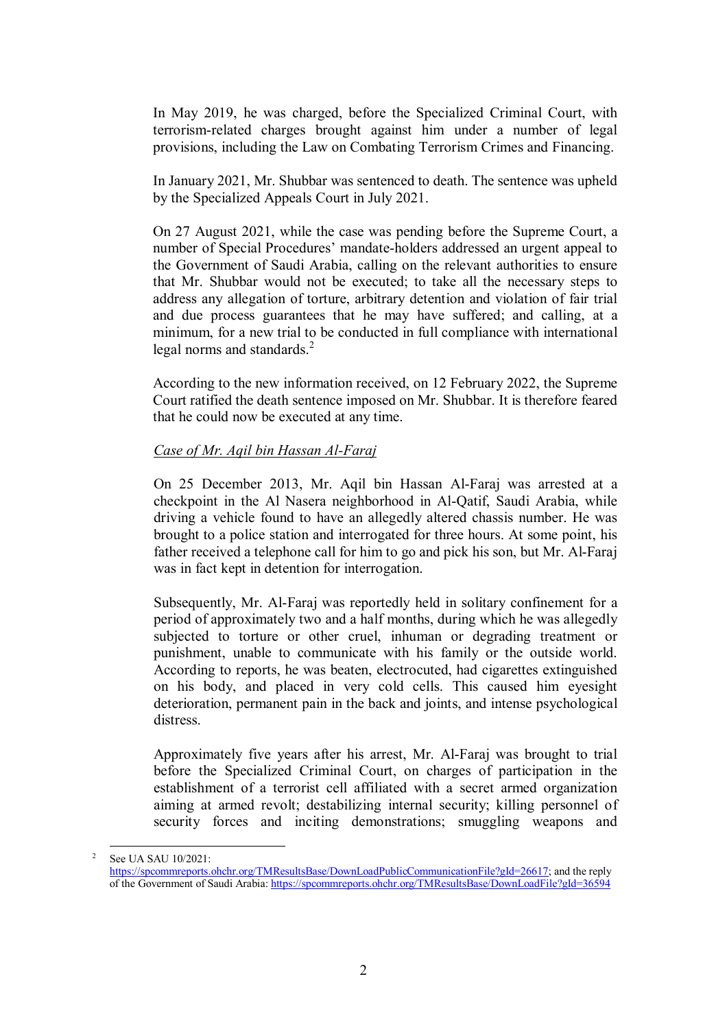In May 2019, he was charged, before the Specialized Criminal Court, with terrorism-related charges brought against him under a number of legal provisions, including the Law on Combating Terrorism Crimes and Financing.

In January 2021, Mr. Shubbar was sentenced to death. The sentence was upheld by the Specialized Appeals Court in July 2021.

On 27 August 2021, while the case was pending before the Supreme Court, a number of Special Procedures' mandate-holders addressed an urgent appeal to the Government of Saudi Arabia, calling on the relevant authorities to ensure that Mr. Shubbar would not be executed; to take all the necessary steps to address any allegation of torture, arbitrary detention and violation of fair trial and due process guarantees that he may have suffered; and calling, at a minimum, for a new trial to be conducted in full compliance with international legal norms and standards.<sup>2</sup>

According to the new information received, on 12 February 2022, the Supreme Court ratified the death sentence imposed on Mr. Shubbar. It is therefore feared that he could now be executed at any time.

## *Case of Mr. Aqil bin Hassan Al-Faraj*

-

On 25 December 2013, Mr. Aqil bin Hassan Al-Faraj was arrested at a checkpoint in the Al Nasera neighborhood in Al-Qatif, Saudi Arabia, while driving a vehicle found to have an allegedly altered chassis number. He was brought to a police station and interrogated for three hours. At some point, his father received a telephone call for him to go and pick his son, but Mr. Al-Faraj was in fact kept in detention for interrogation.

Subsequently, Mr. Al-Faraj was reportedly held in solitary confinement for a period of approximately two and a half months, during which he was allegedly subjected to torture or other cruel, inhuman or degrading treatment or punishment, unable to communicate with his family or the outside world. According to reports, he was beaten, electrocuted, had cigarettes extinguished on his body, and placed in very cold cells. This caused him eyesight deterioration, permanent pain in the back and joints, and intense psychological distress.

Approximately five years after his arrest, Mr. Al-Faraj was brought to trial before the Specialized Criminal Court, on charges of participation in the establishment of a terrorist cell affiliated with a secret armed organization aiming at armed revolt; destabilizing internal security; killing personnel of security forces and inciting demonstrations; smuggling weapons and

<sup>&</sup>lt;sup>2</sup> See UA SAU 10/2021: https://spcommreports.ohchr.org/TMResultsBase/DownLoadPublicCommunicationFile?gId=26617; and the reply of the Government of Saudi Arabia: https://spcommreports.ohchr.org/TMResultsBase/DownLoadFile?gId=36594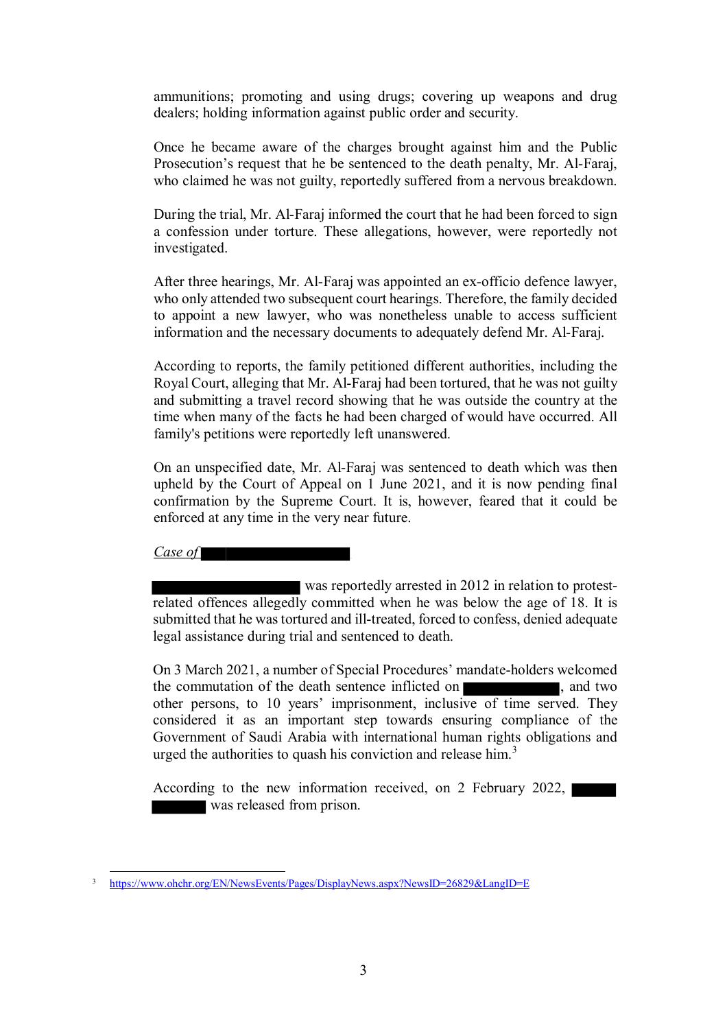ammunitions; promoting and using drugs; covering up weapons and drug dealers; holding information against public order and security.

Once he became aware of the charges brought against him and the Public Prosecution's request that he be sentenced to the death penalty, Mr. Al-Faraj, who claimed he was not guilty, reportedly suffered from a nervous breakdown.

During the trial, Mr. Al-Faraj informed the court that he had been forced to sign a confession under torture. These allegations, however, were reportedly not investigated.

After three hearings, Mr. Al-Faraj was appointed an ex-officio defence lawyer, who only attended two subsequent court hearings. Therefore, the family decided to appoint a new lawyer, who was nonetheless unable to access sufficient information and the necessary documents to adequately defend Mr. Al-Faraj.

According to reports, the family petitioned different authorities, including the Royal Court, alleging that Mr. Al-Faraj had been tortured, that he was not guilty and submitting a travel record showing that he was outside the country at the time when many of the facts he had been charged of would have occurred. All family's petitions were reportedly left unanswered.

On an unspecified date, Mr. Al-Faraj was sentenced to death which was then upheld by the Court of Appeal on 1 June 2021, and it is now pending final confirmation by the Supreme Court. It is, however, feared that it could be enforced at any time in the very near future.

*Case of* 

-

was reportedly arrested in 2012 in relation to protestrelated offences allegedly committed when he was below the age of 18. It is submitted that he was tortured and ill-treated, forced to confess, denied adequate legal assistance during trial and sentenced to death.

On 3 March 2021, a number of Special Procedures' mandate-holders welcomed the commutation of the death sentence inflicted on  $\blacksquare$ , and two other persons, to 10 years' imprisonment, inclusive of time served. They considered it as an important step towards ensuring compliance of the Government of Saudi Arabia with international human rights obligations and urged the authorities to quash his conviction and release him. $3$ 

According to the new information received, on 2 February 2022, was released from prison.

<sup>3</sup> https://www.ohchr.org/EN/NewsEvents/Pages/DisplayNews.aspx?NewsID=26829&LangID=E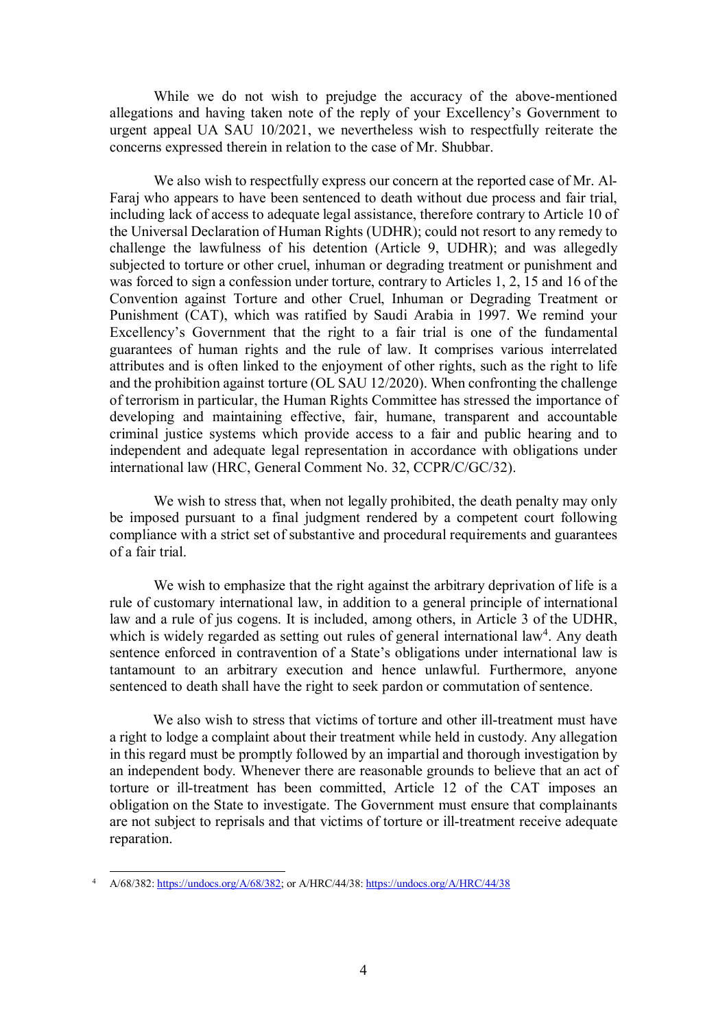While we do not wish to prejudge the accuracy of the above-mentioned allegations and having taken note of the reply of your Excellency's Government to urgent appeal UA SAU 10/2021, we nevertheless wish to respectfully reiterate the concerns expressed therein in relation to the case of Mr. Shubbar.

We also wish to respectfully express our concern at the reported case of Mr. Al-Faraj who appears to have been sentenced to death without due process and fair trial, including lack of access to adequate legal assistance, therefore contrary to Article 10 of the Universal Declaration of Human Rights (UDHR); could not resort to any remedy to challenge the lawfulness of his detention (Article 9, UDHR); and was allegedly subjected to torture or other cruel, inhuman or degrading treatment or punishment and was forced to sign a confession under torture, contrary to Articles 1, 2, 15 and 16 of the Convention against Torture and other Cruel, Inhuman or Degrading Treatment or Punishment (CAT), which was ratified by Saudi Arabia in 1997. We remind your Excellency's Government that the right to a fair trial is one of the fundamental guarantees of human rights and the rule of law. It comprises various interrelated attributes and is often linked to the enjoyment of other rights, such as the right to life and the prohibition against torture (OL SAU 12/2020). When confronting the challenge of terrorism in particular, the Human Rights Committee has stressed the importance of developing and maintaining effective, fair, humane, transparent and accountable criminal justice systems which provide access to a fair and public hearing and to independent and adequate legal representation in accordance with obligations under international law (HRC, General Comment No. 32, CCPR/C/GC/32).

We wish to stress that, when not legally prohibited, the death penalty may only be imposed pursuant to a final judgment rendered by a competent court following compliance with a strict set of substantive and procedural requirements and guarantees of a fair trial.

We wish to emphasize that the right against the arbitrary deprivation of life is a rule of customary international law, in addition to a general principle of international law and a rule of jus cogens. It is included, among others, in Article 3 of the UDHR, which is widely regarded as setting out rules of general international law<sup>4</sup>. Any death sentence enforced in contravention of a State's obligations under international law is tantamount to an arbitrary execution and hence unlawful. Furthermore, anyone sentenced to death shall have the right to seek pardon or commutation of sentence.

We also wish to stress that victims of torture and other ill-treatment must have a right to lodge a complaint about their treatment while held in custody. Any allegation in this regard must be promptly followed by an impartial and thorough investigation by an independent body. Whenever there are reasonable grounds to believe that an act of torture or ill-treatment has been committed, Article 12 of the CAT imposes an obligation on the State to investigate. The Government must ensure that complainants are not subject to reprisals and that victims of torture or ill-treatment receive adequate reparation.

-

<sup>4</sup> A/68/382: https://undocs.org/A/68/382; or A/HRC/44/38: https://undocs.org/A/HRC/44/38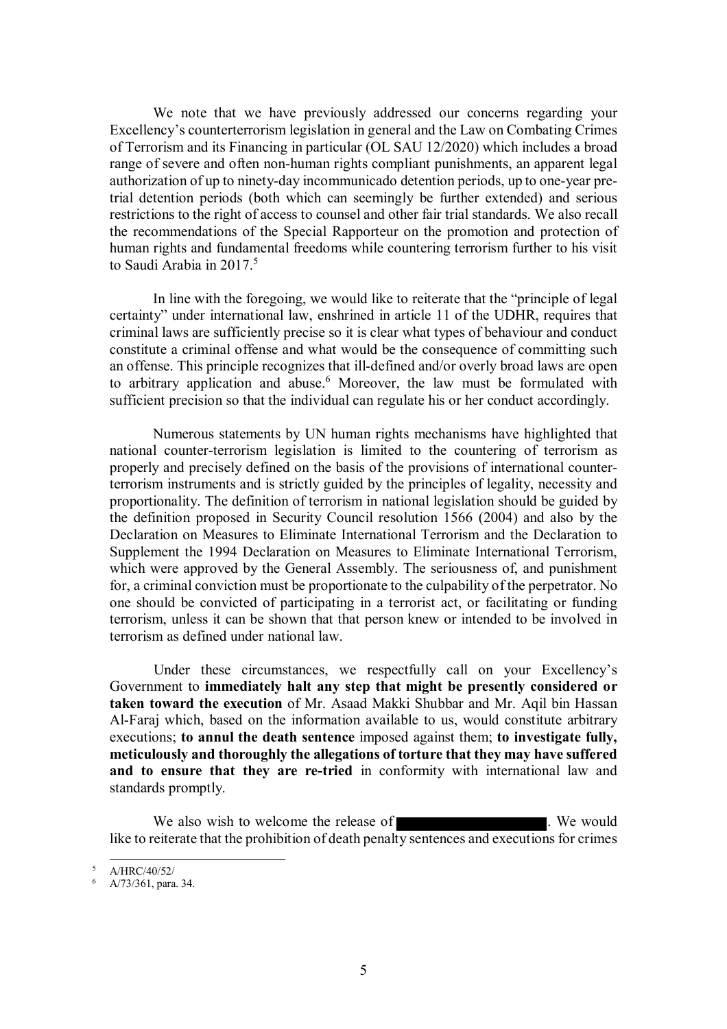We note that we have previously addressed our concerns regarding your Excellency's counterterrorism legislation in general and the Law on Combating Crimes of Terrorism and its Financing in particular (OL SAU 12/2020) which includes a broad range of severe and often non-human rights compliant punishments, an apparent legal authorization of up to ninety-day incommunicado detention periods, up to one-year pretrial detention periods (both which can seemingly be further extended) and serious restrictions to the right of access to counsel and other fair trial standards. We also recall the recommendations of the Special Rapporteur on the promotion and protection of human rights and fundamental freedoms while countering terrorism further to his visit to Saudi Arabia in 2017.<sup>5</sup>

In line with the foregoing, we would like to reiterate that the "principle of legal certainty" under international law, enshrined in article 11 of the UDHR, requires that criminal laws are sufficiently precise so it is clear what types of behaviour and conduct constitute a criminal offense and what would be the consequence of committing such an offense. This principle recognizes that ill-defined and/or overly broad laws are open to arbitrary application and abuse.<sup>6</sup> Moreover, the law must be formulated with sufficient precision so that the individual can regulate his or her conduct accordingly.

Numerous statements by UN human rights mechanisms have highlighted that national counter-terrorism legislation is limited to the countering of terrorism as properly and precisely defined on the basis of the provisions of international counterterrorism instruments and is strictly guided by the principles of legality, necessity and proportionality. The definition of terrorism in national legislation should be guided by the definition proposed in Security Council resolution 1566 (2004) and also by the Declaration on Measures to Eliminate International Terrorism and the Declaration to Supplement the 1994 Declaration on Measures to Eliminate International Terrorism, which were approved by the General Assembly. The seriousness of, and punishment for, a criminal conviction must be proportionate to the culpability of the perpetrator. No one should be convicted of participating in a terrorist act, or facilitating or funding terrorism, unless it can be shown that that person knew or intended to be involved in terrorism as defined under national law.

Under these circumstances, we respectfully call on your Excellency's Government to **immediately halt any step that might be presently considered or taken toward the execution** of Mr. Asaad Makki Shubbar and Mr. Aqil bin Hassan Al-Faraj which, based on the information available to us, would constitute arbitrary executions; **to annul the death sentence** imposed against them; **to investigate fully, meticulously and thoroughly the allegations of torture that they may have suffered and to ensure that they are re-tried** in conformity with international law and standards promptly.

We also wish to welcome the release of **EXECUTE:** We would like to reiterate that the prohibition of death penalty sentences and executions for crimes

<sup>-</sup><sup>5</sup> A/HRC/40/52/

<sup>6</sup> A/73/361, para. 34.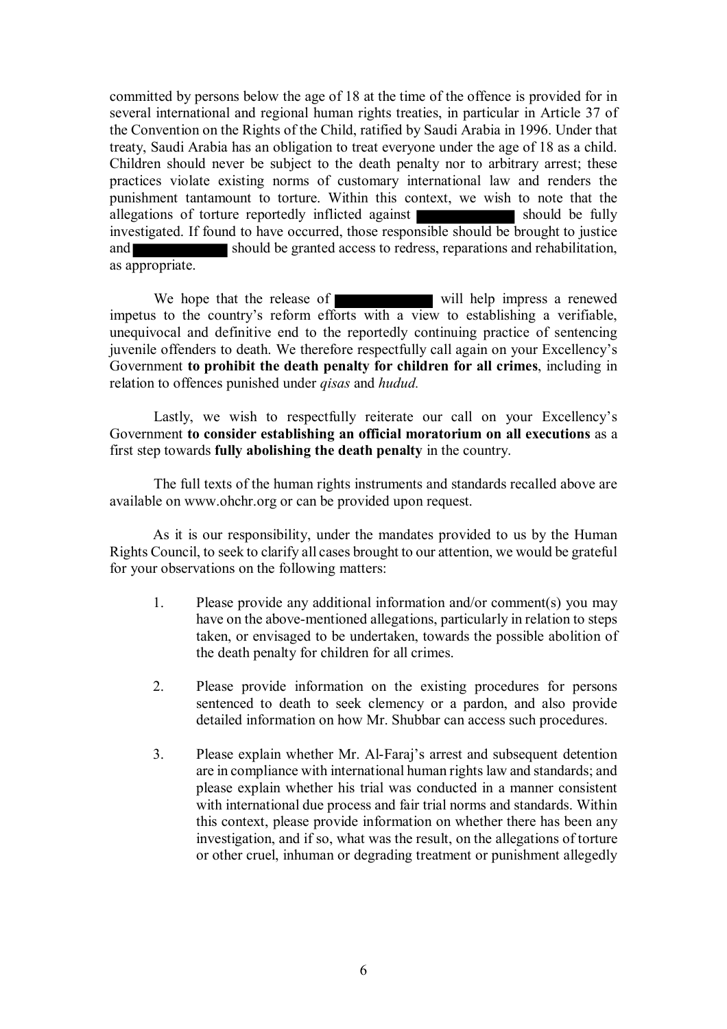committed by persons below the age of 18 at the time of the offence is provided for in several international and regional human rights treaties, in particular in Article 37 of the Convention on the Rights of the Child, ratified by Saudi Arabia in 1996. Under that treaty, Saudi Arabia has an obligation to treat everyone under the age of 18 as a child. Children should never be subject to the death penalty nor to arbitrary arrest; these practices violate existing norms of customary international law and renders the punishment tantamount to torture. Within this context, we wish to note that the allegations of torture reportedly inflicted against investigated. If found to have occurred, those responsible should be brought to justice and should be granted access to redress, reparations and rehabilitation, as appropriate.

We hope that the release of will help impress a renewed impetus to the country's reform efforts with a view to establishing a verifiable, unequivocal and definitive end to the reportedly continuing practice of sentencing juvenile offenders to death. We therefore respectfully call again on your Excellency's Government **to prohibit the death penalty for children for all crimes**, including in relation to offences punished under *qisas* and *hudud.* 

Lastly, we wish to respectfully reiterate our call on your Excellency's Government **to consider establishing an official moratorium on all executions** as a first step towards **fully abolishing the death penalty** in the country.

The full texts of the human rights instruments and standards recalled above are available on www.ohchr.org or can be provided upon request.

As it is our responsibility, under the mandates provided to us by the Human Rights Council, to seek to clarify all cases brought to our attention, we would be grateful for your observations on the following matters:

- 1. Please provide any additional information and/or comment(s) you may have on the above-mentioned allegations, particularly in relation to steps taken, or envisaged to be undertaken, towards the possible abolition of the death penalty for children for all crimes.
- 2. Please provide information on the existing procedures for persons sentenced to death to seek clemency or a pardon, and also provide detailed information on how Mr. Shubbar can access such procedures.
- 3. Please explain whether Mr. Al-Faraj's arrest and subsequent detention are in compliance with international human rights law and standards; and please explain whether his trial was conducted in a manner consistent with international due process and fair trial norms and standards. Within this context, please provide information on whether there has been any investigation, and if so, what was the result, on the allegations of torture or other cruel, inhuman or degrading treatment or punishment allegedly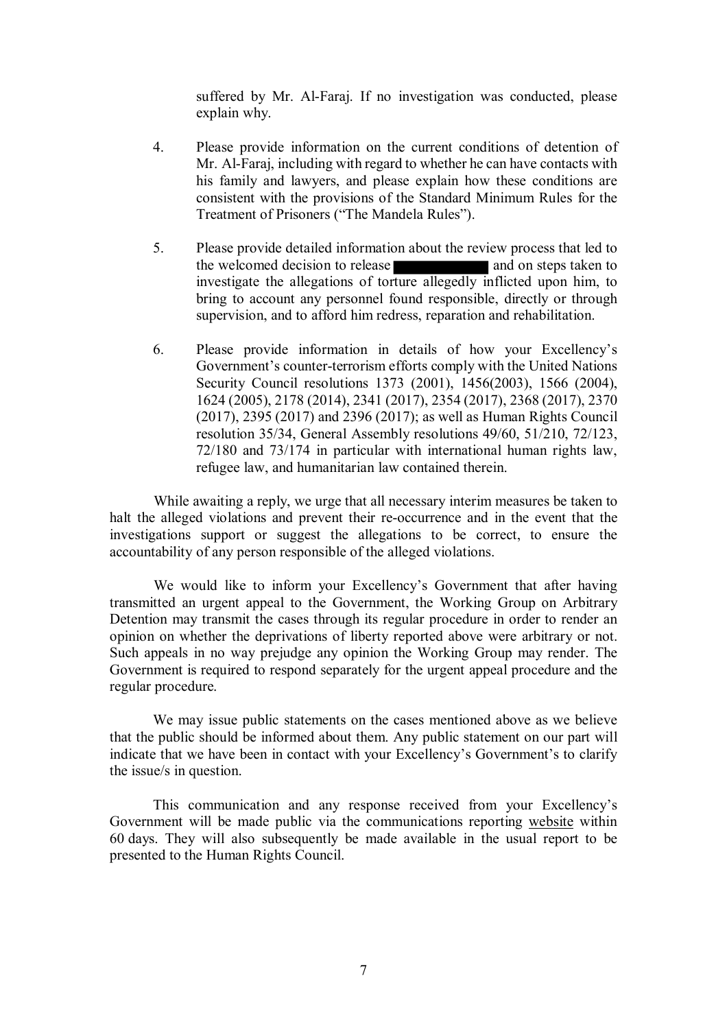suffered by Mr. Al-Faraj. If no investigation was conducted, please explain why.

- 4. Please provide information on the current conditions of detention of Mr. Al-Faraj, including with regard to whether he can have contacts with his family and lawyers, and please explain how these conditions are consistent with the provisions of the Standard Minimum Rules for the Treatment of Prisoners ("The Mandela Rules").
- 5. Please provide detailed information about the review process that led to the welcomed decision to release and on steps taken to investigate the allegations of torture allegedly inflicted upon him, to bring to account any personnel found responsible, directly or through supervision, and to afford him redress, reparation and rehabilitation.
- 6. Please provide information in details of how your Excellency's Government's counter-terrorism efforts comply with the United Nations Security Council resolutions 1373 (2001), 1456(2003), 1566 (2004), 1624 (2005), 2178 (2014), 2341 (2017), 2354 (2017), 2368 (2017), 2370 (2017), 2395 (2017) and 2396 (2017); as well as Human Rights Council resolution 35/34, General Assembly resolutions 49/60, 51/210, 72/123, 72/180 and 73/174 in particular with international human rights law, refugee law, and humanitarian law contained therein.

While awaiting a reply, we urge that all necessary interim measures be taken to halt the alleged violations and prevent their re-occurrence and in the event that the investigations support or suggest the allegations to be correct, to ensure the accountability of any person responsible of the alleged violations.

We would like to inform your Excellency's Government that after having transmitted an urgent appeal to the Government, the Working Group on Arbitrary Detention may transmit the cases through its regular procedure in order to render an opinion on whether the deprivations of liberty reported above were arbitrary or not. Such appeals in no way prejudge any opinion the Working Group may render. The Government is required to respond separately for the urgent appeal procedure and the regular procedure.

We may issue public statements on the cases mentioned above as we believe that the public should be informed about them. Any public statement on our part will indicate that we have been in contact with your Excellency's Government's to clarify the issue/s in question.

This communication and any response received from your Excellency's Government will be made public via the communications reporting website within 60 days. They will also subsequently be made available in the usual report to be presented to the Human Rights Council.